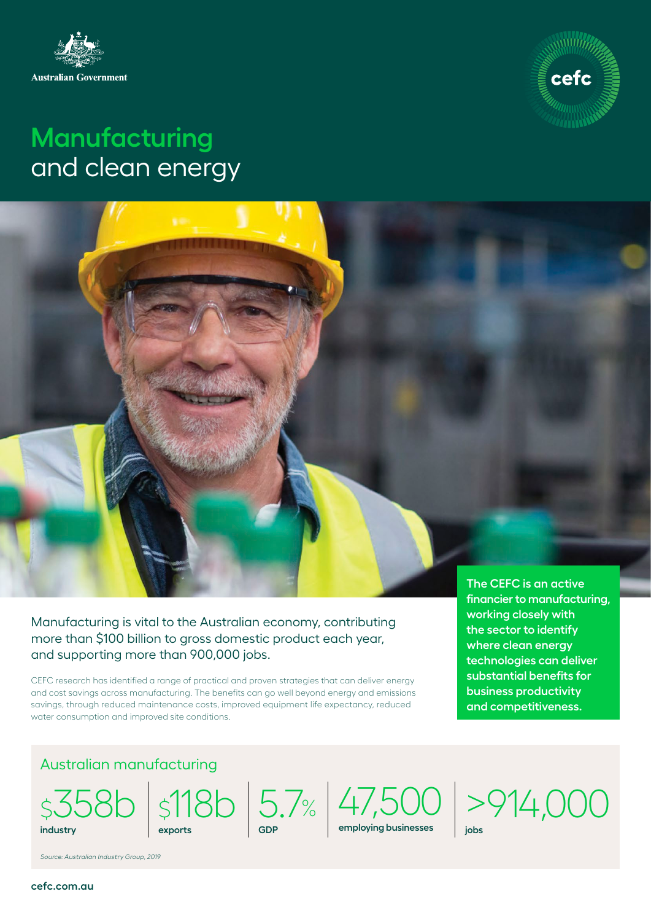



# **Manufacturing** and clean energy



Manufacturing is vital to the Australian economy, contributing more than \$100 billion to gross domestic product each year, and supporting more than 900,000 jobs.

CEFC research has identified a range of practical and proven strategies that can deliver energy and cost savings across manufacturing. The benefits can go well beyond energy and emissions savings, through reduced maintenance costs, improved equipment life expectancy, reduced water consumption and improved site conditions.

**financier to manufacturing, working closely with the sector to identify where clean energy technologies can deliver substantial benefits for business productivity and competitiveness.**

>914,000

# Australian manufacturing





5.7% **GDP**

47,500 **employing businesses**

**jobs**

*Source: Australian Industry Group, 2019*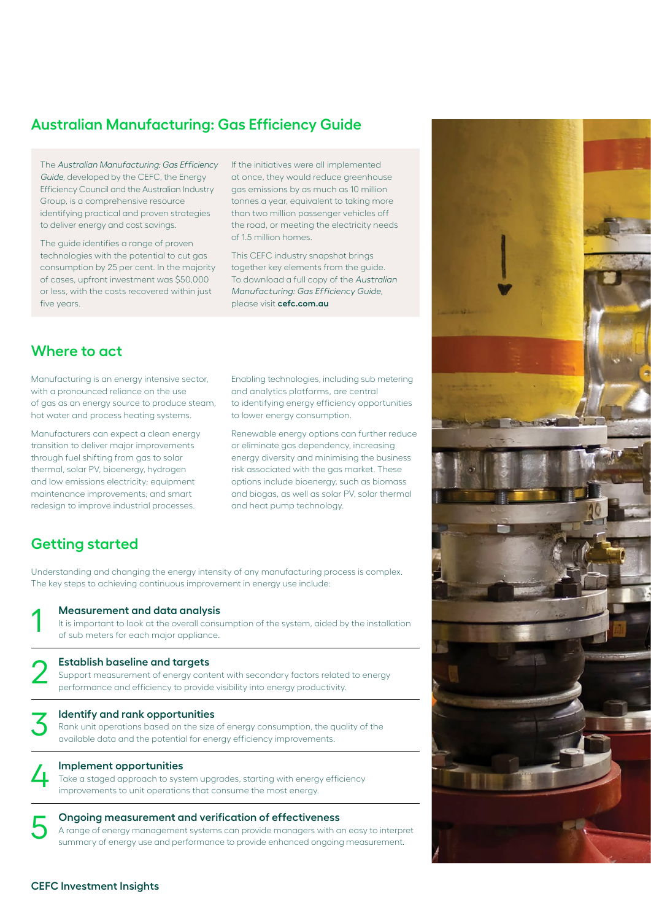# **Australian Manufacturing: Gas Efficiency Guide**

The *Australian Manufacturing: Gas Efficiency Guide*, developed by the CEFC, the Energy Efficiency Council and the Australian Industry Group, is a comprehensive resource identifying practical and proven strategies to deliver energy and cost savings.

The guide identifies a range of proven technologies with the potential to cut gas consumption by 25 per cent. In the majority of cases, upfront investment was \$50,000 or less, with the costs recovered within just five years.

If the initiatives were all implemented at once, they would reduce greenhouse gas emissions by as much as 10 million tonnes a year, equivalent to taking more than two million passenger vehicles off the road, or meeting the electricity needs of 1.5 million homes.

This CEFC industry snapshot brings together key elements from the guide. To download a full copy of the *Australian Manufacturing: Gas Efficiency Guide*, please visit **cefc.com.au**

### **Where to act**

Manufacturing is an energy intensive sector, with a pronounced reliance on the use of gas as an energy source to produce steam, hot water and process heating systems.

Manufacturers can expect a clean energy transition to deliver major improvements through fuel shifting from gas to solar thermal, solar PV, bioenergy, hydrogen and low emissions electricity; equipment maintenance improvements; and smart redesign to improve industrial processes.

Enabling technologies, including sub metering and analytics platforms, are central to identifying energy efficiency opportunities to lower energy consumption.

Renewable energy options can further reduce or eliminate gas dependency, increasing energy diversity and minimising the business risk associated with the gas market. These options include bioenergy, such as biomass and biogas, as well as solar PV, solar thermal and heat pump technology.

# **Getting started**

Understanding and changing the energy intensity of any manufacturing process is complex. The key steps to achieving continuous improvement in energy use include:

#### 1 **Measurement and data analysis**

It is important to look at the overall consumption of the system, aided by the installation of sub meters for each major appliance.



2 **Establish baseline and targets**  Support measurement of energy content with secondary factors related to energy performance and efficiency to provide visibility into energy productivity.

**3 Identify and rank opportunities**<br>**3** Rank unit operations based on the size<br>available data and the potential for ene Rank unit operations based on the size of energy consumption, the quality of the available data and the potential for energy efficiency improvements.

#### 4 **Implement opportunities**

Take a staged approach to system upgrades, starting with energy efficiency improvements to unit operations that consume the most energy.

**Solution of effectiveness**<br>A range of energy management systems can provide managers with a<br>summary of energy use and performance to provide enhanced ongoing A range of energy management systems can provide managers with an easy to interpret summary of energy use and performance to provide enhanced ongoing measurement.

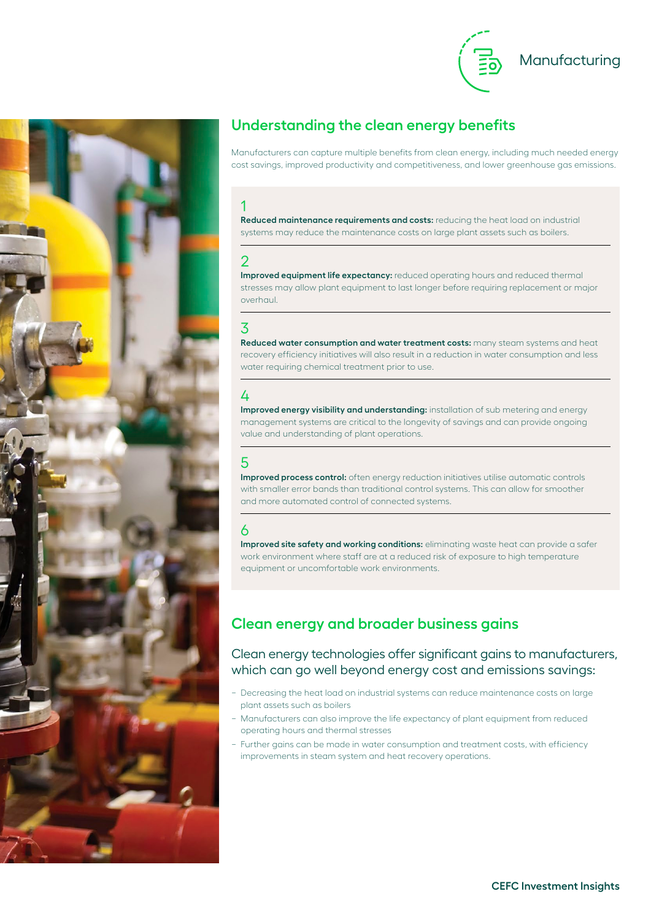



# **Understanding the clean energy benefits**

Manufacturers can capture multiple benefits from clean energy, including much needed energy cost savings, improved productivity and competitiveness, and lower greenhouse gas emissions.

#### 1

**Reduced maintenance requirements and costs:** reducing the heat load on industrial systems may reduce the maintenance costs on large plant assets such as boilers.

### $\mathcal P$

**Improved equipment life expectancy:** reduced operating hours and reduced thermal stresses may allow plant equipment to last longer before requiring replacement or major overhaul.

#### 3

**Reduced water consumption and water treatment costs:** many steam systems and heat recovery efficiency initiatives will also result in a reduction in water consumption and less water requiring chemical treatment prior to use.

# 4

**Improved energy visibility and understanding:** installation of sub metering and energy management systems are critical to the longevity of savings and can provide ongoing value and understanding of plant operations.

# 5

**Improved process control:** often energy reduction initiatives utilise automatic controls with smaller error bands than traditional control systems. This can allow for smoother and more automated control of connected systems.

# 6

**Improved site safety and working conditions:** eliminating waste heat can provide a safer work environment where staff are at a reduced risk of exposure to high temperature equipment or uncomfortable work environments.

# **Clean energy and broader business gains**

#### Clean energy technologies offer significant gains to manufacturers, which can go well beyond energy cost and emissions savings:

- − Decreasing the heat load on industrial systems can reduce maintenance costs on large plant assets such as boilers
- − Manufacturers can also improve the life expectancy of plant equipment from reduced operating hours and thermal stresses
- − Further gains can be made in water consumption and treatment costs, with efficiency improvements in steam system and heat recovery operations.